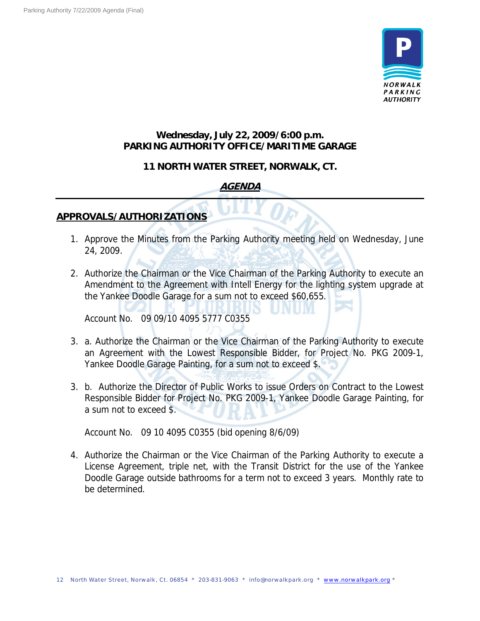

### **Wednesday, July 22, 2009/6:00 p.m. PARKING AUTHORITY OFFICE/MARITIME GARAGE**

#### **11 NORTH WATER STREET, NORWALK, CT.**

## **AGENDA**

#### **APPROVALS/AUTHORIZATIONS**

- 1. Approve the Minutes from the Parking Authority meeting held on Wednesday, June 24, 2009.
- 2. Authorize the Chairman or the Vice Chairman of the Parking Authority to execute an Amendment to the Agreement with Intell Energy for the lighting system upgrade at the Yankee Doodle Garage for a sum not to exceed \$60,655.

Account No. 09 09/10 4095 5777 C0355

- 3. a. Authorize the Chairman or the Vice Chairman of the Parking Authority to execute an Agreement with the Lowest Responsible Bidder, for Project No. PKG 2009-1, Yankee Doodle Garage Painting, for a sum not to exceed \$.
- 3. b. Authorize the Director of Public Works to issue Orders on Contract to the Lowest Responsible Bidder for Project No. PKG 2009-1, Yankee Doodle Garage Painting, for a sum not to exceed \$.

Account No. 09 10 4095 C0355 (bid opening 8/6/09)

4. Authorize the Chairman or the Vice Chairman of the Parking Authority to execute a License Agreement, triple net, with the Transit District for the use of the Yankee Doodle Garage outside bathrooms for a term not to exceed 3 years. Monthly rate to be determined.